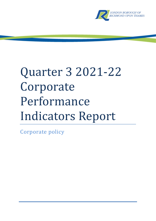

# Quarter 3 2021-22 Corporate Performance Indicators Report

Corporate policy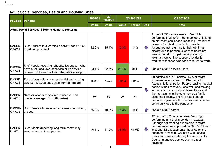# **Adult Social Services, Health and Housing Cttee**

| <b>PI</b> Code          | <b>PI Name</b>                                                                                                                                           | 2020/21      | Q3<br>2020/21 |              | Q3 2021/22    |                    | Q3 2021/22                                                                                                                                                                                                                                                                                                                                                                                                                 |
|-------------------------|----------------------------------------------------------------------------------------------------------------------------------------------------------|--------------|---------------|--------------|---------------|--------------------|----------------------------------------------------------------------------------------------------------------------------------------------------------------------------------------------------------------------------------------------------------------------------------------------------------------------------------------------------------------------------------------------------------------------------|
|                         |                                                                                                                                                          | <b>Value</b> | <b>Value</b>  | <b>Value</b> | <b>Target</b> | <b>DoT</b>         | <b>Note</b>                                                                                                                                                                                                                                                                                                                                                                                                                |
|                         | <b>Adult Social Services &amp; Public Health Directorate</b>                                                                                             |              |               |              |               |                    |                                                                                                                                                                                                                                                                                                                                                                                                                            |
| DASSR-<br><b>OP-002</b> | % of Adults with a learning disability aged 18-64<br>in paid employment                                                                                  | 12.6%        | 15.4%         | 10.3%        | 14%           | JI,                | 41 out of 398 service users. Very high<br>performing in 2020/21- 3rd in London. National<br>employment challenges impacting - variety of<br>reasons for this drop including people<br>furloughed not returning to their job, firms<br>closing due to pandemic, service users not<br>wanting to return to paid work preferring<br>voluntary work. The support provider is<br>working with those who wish to return to work. |
| DASSR-<br>OP-003        | % of People receiving rehabilitative support who<br>have a reduced level of service or no service<br>required at the end of their rehabilitative support | 83.1%        | 82.5%         | 90.7%        | 85%           | $\left\  \right\ $ | 284 out of 313 service users.                                                                                                                                                                                                                                                                                                                                                                                              |
| DASSR-<br><b>OP-004</b> | Rate of admissions into residential and nursing<br>care per 100,000 population 65+ (Minimise)                                                            | 303.3        | 175.2         | 281.4        | 231.4         |                    | 90 admissions in 9 months, 16 over target.<br>Increase mainly a result of Discharge to<br>Assess National policy. People leaving hospital<br>earlier in their recovery, less well, and moving                                                                                                                                                                                                                              |
| DASSR-<br>OP-010        | Number of admissions into residential and<br>nursing care aged 65+ (Minimise)                                                                            | 97           | 55            | 90           | 74            | 几                  | linto a care home on a short-term basis and<br>then remaining in the care home as family<br>value the security. There is also pent-up<br>demand of people with complex needs, in the<br>community due to the pandemic.                                                                                                                                                                                                     |
| DASSR-<br>OP-005        | % of Carers who received an assessment during<br>the year                                                                                                | 56.3%        | 40.6%         | 44.3%        | 45%           | $\bigcap$          | 364 out of 822 carers.                                                                                                                                                                                                                                                                                                                                                                                                     |
| DASSR-<br><b>OP-006</b> | % of Clients (receiving long-term community<br>services) on a Direct payment                                                                             | 40.1%        | 41.9%         | 38.5%        | 41.5%         | JL                 | 424 out of 1102 service users. Very high<br>performing and 2nd in London in 2020/21.<br>Although not meeting our ambitious target,<br>performance has improved on Q2 (37.8%) and<br>is strong. Direct payments impacted by the<br>pandemic across all Councils with service<br>users and carers preferring the security of a<br>Council-managed service over a direct<br>payment.                                          |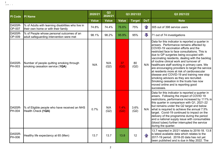| <b>PI Code</b>          | <b>PI Name</b>                                                                            | 2020/21      | Q3<br>2020/21 |              | Q3 2021/22    |            | Q3 2021/22                                                                                                                                                                                                                                                                                                                                                                                                                                                                                                                                                                                                                                                                 |
|-------------------------|-------------------------------------------------------------------------------------------|--------------|---------------|--------------|---------------|------------|----------------------------------------------------------------------------------------------------------------------------------------------------------------------------------------------------------------------------------------------------------------------------------------------------------------------------------------------------------------------------------------------------------------------------------------------------------------------------------------------------------------------------------------------------------------------------------------------------------------------------------------------------------------------------|
|                         |                                                                                           | <b>Value</b> | <b>Value</b>  | <b>Value</b> | <b>Target</b> | <b>DoT</b> | <b>Note</b>                                                                                                                                                                                                                                                                                                                                                                                                                                                                                                                                                                                                                                                                |
| DASSR-<br>OP-007        | % of Adults with learning disabilities who live in<br>their own home or with their family | 74.8%        | 74.4%         | 76.6%        | 75%           | $\bigcap$  | 305 out of 398 service users                                                                                                                                                                                                                                                                                                                                                                                                                                                                                                                                                                                                                                               |
| DASSR-<br>OP-009        | % of People whose personal outcomes of an<br>adult safeguarding intervention were met     | 98.1%        | 98.2%         | 95.9%        | 95%           | 少          | 71 out of 74 investigations                                                                                                                                                                                                                                                                                                                                                                                                                                                                                                                                                                                                                                                |
| DASSR-<br>PH-003        | Number of people quitting smoking through<br>smoking cessation service (1QA)              | N/A          | N/A<br>(Q2)   | 37<br>(Q2)   | 80<br>(Q2)    | N/A        | Data for this indicator is reported a quarter in<br>arrears. Performance remains affected by<br>COVID-19 vaccination efforts and the<br>restricted face to face consultations. This is<br>due to GP surgeries being occupied with<br>vaccinating residents, dealing with the backlog<br>of routine clinical work and turnover of<br>healthcare staff working in primary care. We<br>are encouraging providers to target the service<br>at residents more at risk of cardiovascular<br>disease and COVID-19 and training new stop<br>smoking advisors as they are recruited.<br>Smoking cessation in the trusts has now<br>moved online and is reporting good<br>successes. |
| DASSR-<br>PH-004        | % of Eligible people who have received an NHS<br>Health Check (1QA)                       | 0.7%         | N/A<br>(Q2)   | 1.4%<br>(Q2) | 3.6%<br>(Q2)  | N/A        | Data for this indicator is reported a quarter in<br>arears. Following the impact of COVID 19<br>restrictions, performance increased by 111% in<br>this quarter in comparison with Q1, 2021-22<br>but remains under the Q2 target and below<br>what is required to achieve the annual 7.5%<br>target. Covid-19 continued to impact on the<br>delivery of the programme during the period<br>and a national supply issue with consumables<br>(blood tubes) further interrupted the service<br>during the quarter.                                                                                                                                                            |
| DASSR-<br><b>PH-006</b> | Healthy life expectancy at 65 (Men)                                                       | 13.7         | 13.7          | 13.8         | 12            | $\bigcap$  | 13.7 reported in 20/21 relates to 2016-18. 13.8<br>is latest available data which relates to the<br>2017-19 period. 2018-20 data has not yet<br>been published and is due in May 2022. The                                                                                                                                                                                                                                                                                                                                                                                                                                                                                 |

.<br>Jean-Joa l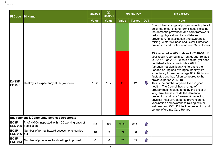| <b>PI</b> Code          | <b>PI Name</b>                                                       | 2020/21      | Q3<br>2020/21 |              | Q3 2021/22    |              | Q3 2021/22                                                                                                                                                                                                                                                                                                                                                                                                                                                                                                                                                                                                                                                                                                                                                                                                    |
|-------------------------|----------------------------------------------------------------------|--------------|---------------|--------------|---------------|--------------|---------------------------------------------------------------------------------------------------------------------------------------------------------------------------------------------------------------------------------------------------------------------------------------------------------------------------------------------------------------------------------------------------------------------------------------------------------------------------------------------------------------------------------------------------------------------------------------------------------------------------------------------------------------------------------------------------------------------------------------------------------------------------------------------------------------|
|                         |                                                                      | <b>Value</b> | <b>Value</b>  | <b>Value</b> | <b>Target</b> | <b>DoT</b>   | <b>Note</b>                                                                                                                                                                                                                                                                                                                                                                                                                                                                                                                                                                                                                                                                                                                                                                                                   |
|                         |                                                                      |              |               |              |               |              | Council has a range of programmes in place to<br>delay the onset of long-term illness including<br>the dementia prevention and care framework,<br>reducing physical inactivity, diabetes<br>prevention, flu vaccination and awareness<br>raising, winter wellness and COVID infection<br>prevention and control effort into Care Homes                                                                                                                                                                                                                                                                                                                                                                                                                                                                        |
| DASSR-<br><b>PH-007</b> | Healthy life expectancy at 65 (Women)                                | 13.2         | 13.2          | 11           | 12            | $\sqrt{ }$   | 13.2 reported in 20/21 relates to 2016-18. 11<br>year result reported in current quarter relates<br>to 2017-19 as 2018-20 data has not yet been<br>published - this is due in May 2022.<br>Although not significantly different to the<br>London or England averages, healthy life<br>expectancy for women at age 65 in Richmond<br>fluctuates and has fallen compared to the<br>previous period 2016-18.<br>This is the number of years lived in good<br>health. The Council has a range of<br>programmes in place to delay the onset of<br>long term illness include the dementia<br>prevention and care framework, reducing<br>physical inactivity, diabetes prevention, flu<br>vaccination and awareness raising, winter<br>wellness and COVID infection prevention and<br>control effort into Care Homes |
|                         | <b>Environment &amp; Community Services Directorate</b>              |              |               |              |               |              |                                                                                                                                                                                                                                                                                                                                                                                                                                                                                                                                                                                                                                                                                                                                                                                                               |
| <b>ECSR-</b>            | % of HMOs inspected within 20 working days of<br>ENS-005 application | 10%          | 0%            | 90%          | 80%           | $\mathbf{f}$ |                                                                                                                                                                                                                                                                                                                                                                                                                                                                                                                                                                                                                                                                                                                                                                                                               |
| ECSR-<br>ENS-006 out    | Number of formal hazard assessments carried                          | 10           | 3             | 59           | 60            | $\mathbf{r}$ |                                                                                                                                                                                                                                                                                                                                                                                                                                                                                                                                                                                                                                                                                                                                                                                                               |
| ECSR-<br><b>ENS-013</b> | Number of private sector dwellings improved                          | $\mathbf 0$  | 0             | 67           | 65            | 行            |                                                                                                                                                                                                                                                                                                                                                                                                                                                                                                                                                                                                                                                                                                                                                                                                               |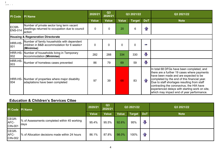| <b>PI Code</b>          | <b>PI Name</b>                                                                                         | 2020/21      | Q3<br>2020/21 |              | Q3 2021/22  |              | Q3 2021/22                                                                                                                                                                                                                                                                                                                                                                   |
|-------------------------|--------------------------------------------------------------------------------------------------------|--------------|---------------|--------------|-------------|--------------|------------------------------------------------------------------------------------------------------------------------------------------------------------------------------------------------------------------------------------------------------------------------------------------------------------------------------------------------------------------------------|
|                         |                                                                                                        | <b>Value</b> | <b>Value</b>  | <b>Value</b> | Target      | <b>DoT</b>   | <b>Note</b>                                                                                                                                                                                                                                                                                                                                                                  |
| ECSR-<br><b>ENS-014</b> | Number of private sector long term vacant<br>dwellings returned to occupation due to council<br>action | $\mathbf 0$  | 0             | 20           | 6           | $\mathbf{f}$ |                                                                                                                                                                                                                                                                                                                                                                              |
|                         | <b>Housing &amp; Regeneration Directorate</b>                                                          |              |               |              |             |              |                                                                                                                                                                                                                                                                                                                                                                              |
| HRR-HS-<br>001          | Number of family households with dependent<br>children in B&B accommodation for 6 weeks+<br>(Minimise) | 0            | $\mathbf{0}$  | $\mathbf 0$  | $\mathbf 0$ | Posts.       |                                                                                                                                                                                                                                                                                                                                                                              |
| 002                     | HRR-HS- Number of households living in Temporary<br><b>Accommodation (Minimise)</b>                    | 282          | 288           | 334          | 330         | J            |                                                                                                                                                                                                                                                                                                                                                                              |
| HRR-HS-<br>003          | Number of homeless cases prevented                                                                     | 86           | 79            | 69           | 59          | $\Box$       |                                                                                                                                                                                                                                                                                                                                                                              |
| 004                     | HRR-HS- Number of properties where major disability<br>adaptations have been completed                 | 97           | 39            | 68           | 83          | $\bigcap$    | In total 68 DFGs have been completed, and<br>there are a further 19 cases where payments<br>have been made and are expected to be<br>completed by the end of this financial year.<br>Due to staff shortages resulting from staff<br>contracting the coronavirus, the HIA have<br>experienced delays with starting work on site,<br>which may impact end of year performance. |

### **Education & Children's Services Cttee**

 $\sim$   $\sim$   $\sim$   $\sim$ l

|                                 | PI Code PI Name                                      | 2020/21      | Q3<br>2020/21 | Q3 2021/22   |               |            | Q3 2021/22  |
|---------------------------------|------------------------------------------------------|--------------|---------------|--------------|---------------|------------|-------------|
|                                 |                                                      | <b>Value</b> | <b>Value</b>  | <b>Value</b> | <b>Target</b> | <b>DoT</b> | <b>Note</b> |
| CEGR-<br>AFC-<br><b>CIN-001</b> | % of Assessments completed within 45 working<br>days | 95.4%        | 95.5%         | 92.6%        | 95%           | JI,        |             |
| CEGR-<br>AFC-<br><b>CIN-002</b> | % of Allocation decisions made within 24 hours       | 86.1%        | 87.8%         | 98.0%        | 100%          | $\bigcap$  |             |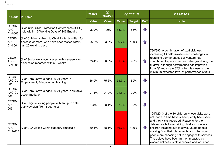| <b>PI Code</b>                  | <b>PI Name</b>                                                                                                              | 2020/21      | Q3<br>2020/21 |              | Q3 2021/22    |                         | Q3 2021/22                                                                                                                                                                                                                                                                                                                                                                                                                                         |
|---------------------------------|-----------------------------------------------------------------------------------------------------------------------------|--------------|---------------|--------------|---------------|-------------------------|----------------------------------------------------------------------------------------------------------------------------------------------------------------------------------------------------------------------------------------------------------------------------------------------------------------------------------------------------------------------------------------------------------------------------------------------------|
|                                 |                                                                                                                             | <b>Value</b> | <b>Value</b>  | <b>Value</b> | <b>Target</b> | <b>DoT</b>              | <b>Note</b>                                                                                                                                                                                                                                                                                                                                                                                                                                        |
| CEGR-<br>AFC-<br>CIN-003        | % of Initial Child Protection Conferences (ICPC)<br>held within 15 Working Days of S47 Enquiry                              | 98.0%        | 100%          | 88.9%        | 88%           | $\mathbf{J}$            |                                                                                                                                                                                                                                                                                                                                                                                                                                                    |
| CEGR-<br>AFC-<br><b>CIN-004</b> | % of Children subject to Child Protection Plan for<br>4 weeks or more, who have been visited within<br>last 20 working days | 95.2%        | 93.2%         | 96.7%        | 100%          | $\mathbf{r}$            |                                                                                                                                                                                                                                                                                                                                                                                                                                                    |
| CEGR-<br>AFC-<br><b>CIN-006</b> | % of Social work open cases with a supervision<br>discussion recorded within 8 weeks                                        | 73.4%        | 80.3%         | 81.8%        | 95%           | 1F                      | 730/893: A combination of staff sickness,<br>increasing COVID isolation and challenges in<br>recruiting permanent social workers has<br>contributed to performance challenges during the<br>quarter, although performance has improved<br>from Q2 moving to 82%, which is closer to the<br>minimum expected level of performance of 85%.                                                                                                           |
| CEGR-<br>AFC-CL-<br>001         | % of Care Leavers aged 19-21 years in<br>Employment, Education or Training                                                  | 66.0%        | 75.6%         | 53.7%        | 60%           | $\overline{\mathbb{U}}$ |                                                                                                                                                                                                                                                                                                                                                                                                                                                    |
| CEGR-<br>AFC-CL-<br>002         | % of Care Leavers aged 19-21 years in suitable<br>accommodation                                                             | 91.5%        | 94.9%         | 91.5%        | 90%           | $\overline{\mathbb{U}}$ |                                                                                                                                                                                                                                                                                                                                                                                                                                                    |
| CEGR-<br>AFC-CL-<br>003         | % of Eligible young people with an up to date<br>pathway plan (16-18 year olds)                                             | 100%         | 98.1%         | 97.1%        | 90%           | $\overline{\mathbb{U}}$ |                                                                                                                                                                                                                                                                                                                                                                                                                                                    |
| CEGR-<br>AFC-<br><b>CLA-003</b> | % of CLA visited within statutory timescale                                                                                 | 89.1%        | 88.1%         | 86.7%        | 100%          | $\sqrt{2}$              | 104/120: 3 of the 16 children whose visits were<br>not made in time have subsequently been seen<br>and their visits recorded. Reasons for the<br>delayed visits to remaining children include:-<br>children isolating due to covid, young people<br>missing from their placements and other young<br>people are choosing not to engage with services.<br>The delays have been further impacted by<br>worker sickness, staff vacancies and workload |

.<br>Jean-Joa l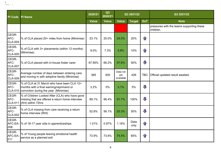| PI Code                         | <b>PI Name</b>                                                                                                                   | 2020/21      | Q3<br>2020/21 |                              | Q3 2021/22   |                         | Q3 2021/22                                             |
|---------------------------------|----------------------------------------------------------------------------------------------------------------------------------|--------------|---------------|------------------------------|--------------|-------------------------|--------------------------------------------------------|
|                                 |                                                                                                                                  | <b>Value</b> | <b>Value</b>  | <b>Value</b>                 | Target       | <b>DoT</b>              | <b>Note</b>                                            |
|                                 |                                                                                                                                  |              |               |                              |              |                         | pressures with the teams supporting these<br>children. |
| CEGR-<br>AFC-<br><b>CLA-004</b> | % of CLA placed 20+ miles from home (Minimise)                                                                                   | 23.1%        | 25.0%         | 24.0%                        | 20%          | $\mathbf{f}$            |                                                        |
| CEGR-<br>AFC-<br><b>CLA-005</b> | % of CLA with 3+ placements (within 12 months)<br>(Minimise)                                                                     | 9.0%         | 7.3%          | 5.8%                         | 10%          | $\mathbf{r}$            |                                                        |
| CEGR-<br>AFC-<br><b>CLA-007</b> | % of CLA placed with in-house foster carer                                                                                       | 67.95%       | 66.2%         | 57.6%                        | 50%          | $\overline{\mathbf{u}}$ |                                                        |
| CEGR-<br>AFC-<br><b>CLA-009</b> | Average number of days between entering care<br>and moving in with adoptive family (Minimise)                                    | 365          | 400           | Data not<br>yet<br>available | 426          | <b>TBC</b>              | Official updated result awaited.                       |
| CEGR-<br>AFC-<br><b>CLA-010</b> | % of CLA at 31 March who have been CLA 12+<br>months with a final warning/reprimand or<br>conviction during the year. (Minimise) | 3.2%         | $0\%$         | 3.1%                         | 5%           | $\overline{\mathbf{U}}$ |                                                        |
| CEGR-<br>AFC-<br><b>CLA-011</b> | % of Children Looked After (CLA) who have gone<br>missing that are offered a return home interview<br>(RHI) within 72hrs         | 89.1%        | 96.4%         | 91.7%                        | 100%         | $\mathbf{J}$            |                                                        |
| CEGR-<br>AFC-<br><b>CLA-002</b> | % of CLA missing from care receiving a return<br>home interview (RHI)                                                            | 52.8%        | 56.1%         | 53.3%                        | 50%          | $\overline{\mathbb{U}}$ |                                                        |
| CEGR-<br>008                    | AFC-EA-  % of 16-17 year olds in apprenticeships                                                                                 | 1.01%        | 0.97%         | 1.18%                        | Data<br>only | $\curvearrowleft$       |                                                        |
| CEGR-<br>AFC-EA-<br>011         | % of Young people leaving emotional health<br>service as a planned exit                                                          | 73.9%        | 73.6%         | 74.5%                        | 65%          | $\mathbf{f}$            |                                                        |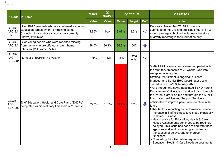| <b>PI Code</b>                  | <b>PI Name</b>                                                                                                                                                       | 2020/21      | Q3<br>2020/21 |              | Q3 2021/22    |            | Q3 2021/22                                                                                                                                                                                                                                                                                                                                                                                                                                                                                                                                                                                                                                                                                                                                                                                                                                                                                                                                                                                                |
|---------------------------------|----------------------------------------------------------------------------------------------------------------------------------------------------------------------|--------------|---------------|--------------|---------------|------------|-----------------------------------------------------------------------------------------------------------------------------------------------------------------------------------------------------------------------------------------------------------------------------------------------------------------------------------------------------------------------------------------------------------------------------------------------------------------------------------------------------------------------------------------------------------------------------------------------------------------------------------------------------------------------------------------------------------------------------------------------------------------------------------------------------------------------------------------------------------------------------------------------------------------------------------------------------------------------------------------------------------|
|                                 |                                                                                                                                                                      | <b>Value</b> | <b>Value</b>  | <b>Value</b> | <b>Target</b> | <b>DoT</b> | <b>Note</b>                                                                                                                                                                                                                                                                                                                                                                                                                                                                                                                                                                                                                                                                                                                                                                                                                                                                                                                                                                                               |
| CEGR-<br>AFC-EA-<br>012         | % of 16-17 year olds who are confirmed as not in<br>Education, Employment, or training status<br>(including those whose status is not currently<br>known) (Minimise) | 2.95%        | N/A           | 3.87%        | 3.5%          | N/A        | Data as at November 21. NEET data is<br>submitted to the DfE and published figure is a 3<br>month average submitted in January therefore<br>quarterly reporting is for information only.                                                                                                                                                                                                                                                                                                                                                                                                                                                                                                                                                                                                                                                                                                                                                                                                                  |
| CEGR-<br>AFC-EA-<br>016         | % of Young people who were reported missing<br>from home who are offered a return home<br>interview (RHI) within 72 hrs                                              | 88.0%        | 86.1%         | 86.8%        | 100%          | $\bigcap$  |                                                                                                                                                                                                                                                                                                                                                                                                                                                                                                                                                                                                                                                                                                                                                                                                                                                                                                                                                                                                           |
| CEGR-<br>AFC-<br><b>SEN-001</b> | Number of ECHPs (No Polarity)                                                                                                                                        | 1,549        | 1,521         | 1,649        | Data<br>only  | N/A        |                                                                                                                                                                                                                                                                                                                                                                                                                                                                                                                                                                                                                                                                                                                                                                                                                                                                                                                                                                                                           |
| CEGR-<br>AFC-<br><b>SEN-002</b> | % of Education, Health and Care Plans (EHCPs)<br>completed within statutory timescale of 20 weeks                                                                    | 83.3%        | 81.6%         | 53.7%        | 80%           | 几          | 36/67 EHCP assessments were completed within<br>the statutory timescale of 20 weeks. One late<br>exception was applied.<br>Staffing: recruitment is ongoing; a Team<br>Manager and Senior EHC Coordinator posts<br>started in post w/b 3 January 2022.<br>Work through the newly appointed SEND Parent<br>Engagement Officers, and work with and through<br>the Parent Carer Forums and through the SEND<br>Information, Advice and Support Service is<br>anticipated to improve parental interaction in the<br>future.<br>Other factors impacting on performance include:<br>- Increase in Staff sickness levels due principally<br>to Covid-19 illness.<br>- Health advice for Education, Health & Care<br>Needs Assessments continues to be routinely<br>delayed. This issue has been raised with those<br>agencies and work is ongoing to understand<br>the causes of delays, and to improve<br>timeliness.<br>Competing Priorities: while requests for<br>Education, Health & Care Needs Assessments |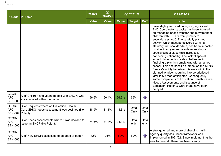| <b>PI Code</b>                     | <b>PI Name</b>                                                                              | 2020/21      | Q3<br>2020/21 |              | Q3 2021/22    |              | Q3 2021/22                                                                                                                                                                                                                                                                                                                                                                                                                                                                                                                                                                                                                                                                                                                                                                                                                                                                                                         |
|------------------------------------|---------------------------------------------------------------------------------------------|--------------|---------------|--------------|---------------|--------------|--------------------------------------------------------------------------------------------------------------------------------------------------------------------------------------------------------------------------------------------------------------------------------------------------------------------------------------------------------------------------------------------------------------------------------------------------------------------------------------------------------------------------------------------------------------------------------------------------------------------------------------------------------------------------------------------------------------------------------------------------------------------------------------------------------------------------------------------------------------------------------------------------------------------|
|                                    |                                                                                             | <b>Value</b> | <b>Value</b>  | <b>Value</b> | <b>Target</b> | <b>DoT</b>   | <b>Note</b>                                                                                                                                                                                                                                                                                                                                                                                                                                                                                                                                                                                                                                                                                                                                                                                                                                                                                                        |
|                                    |                                                                                             |              |               |              |               |              | have slightly reduced during Q3, significant<br>EHC Coordinator capacity has been focused<br>on managing phase transfer (the movement of<br>children with EHCPs from primary to<br>secondary school). The carefully planned<br>activity, which must be delivered within a<br>statutory, national deadline, has been impacted<br>by significantly more parents requesting a<br>special school place (this increase is<br>happening nationally). The lack of special<br>school placements creates challenges in<br>finalising a plan in a timely way with a named<br>school. This has knock-on impact on the SEND<br>Service's ability to deliver this work within the<br>planned window, requiring it to be prioritised<br>later in Q3 than anticipated. Consequently,<br>some completions of Education, Health & Care<br>Needs Assessments and issuance of<br>Education, Health & Care Plans have been<br>delayed. |
| CEGR-<br>AFC-<br><b>SEN-003</b>    | % of Children and young people with EHCPs who<br>are educated within the borough            | 66.6%        | 66.4%         | 66.9%        | 65%           | $\mathbf{f}$ |                                                                                                                                                                                                                                                                                                                                                                                                                                                                                                                                                                                                                                                                                                                                                                                                                                                                                                                    |
| CEGR-<br>AFC-<br>SEN-004 Polarity) | % of Requests where an Education, Health, &<br>Care (EHC) needs assessment was declined (No | 38.9%        | 11.1%         | 14.3%        | Data<br>Only  | Data<br>Only |                                                                                                                                                                                                                                                                                                                                                                                                                                                                                                                                                                                                                                                                                                                                                                                                                                                                                                                    |
| CEGR-<br>AFC-<br><b>SEN-005</b>    | % of Needs assessments where it was decided to<br><b>Issue an EHCP (No Polarity)</b>        | 74.6%        | 84.4%         | 94.1%        | Data<br>only  | Data<br>only |                                                                                                                                                                                                                                                                                                                                                                                                                                                                                                                                                                                                                                                                                                                                                                                                                                                                                                                    |
| CEGR-<br>AFC-<br><b>SEN-006</b>    | % of New EHCPs assessed to be good or better                                                | 82%          | 25%           | 50%          | 60%           | $\bigcap$    | A strengthened and more challenging multi-<br>agency quality assurance framework was<br>implemented in 2021/22. Since implementing the<br>new framework, there has been steady                                                                                                                                                                                                                                                                                                                                                                                                                                                                                                                                                                                                                                                                                                                                     |

of<br>I leaven i le l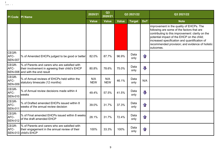| <b>PI</b> Code                  | <b>PI Name</b>                                                                                                                | 2020/21           | Q3<br>2020/21     |              | Q3 2021/22    |              | Q3 2021/22                                                                                                                                                                                                                                                                                                |
|---------------------------------|-------------------------------------------------------------------------------------------------------------------------------|-------------------|-------------------|--------------|---------------|--------------|-----------------------------------------------------------------------------------------------------------------------------------------------------------------------------------------------------------------------------------------------------------------------------------------------------------|
|                                 |                                                                                                                               | <b>Value</b>      | <b>Value</b>      | <b>Value</b> | <b>Target</b> | <b>DoT</b>   | <b>Note</b>                                                                                                                                                                                                                                                                                               |
|                                 |                                                                                                                               |                   |                   |              |               |              | improvement in the quality of EHCPs. The<br>following are some of the factors that are<br>contributing to this improvement: clarity on the<br>potential impact of the EHCP on the child;<br>increased specification and quantification of<br>recommended provision; and evidence of holistic<br>outcomes. |
| CEGR-<br>AFC-<br><b>SEN-007</b> | % of Amended EHCPs judged to be good or better                                                                                | 82.0%             | 87.7%             | 96.9%        | Data<br>only  | $\mathbf{f}$ |                                                                                                                                                                                                                                                                                                           |
| CEGR-<br>AFC-<br><b>SEN-008</b> | % of Parents and carers who are satisfied with<br>their involvement in agreeing their child's EHCP<br>and with the end result | 80.8%             | 78.6%             | 75.0%        | Data<br>only  | $\Box$       |                                                                                                                                                                                                                                                                                                           |
| CEGR-<br>AFC-<br><b>SEN-009</b> | % of Annual reviews of EHCPs held within the<br>statutory timescale (12 months)                                               | N/A<br><b>NEW</b> | N/A<br><b>NEW</b> | 46.1%        | Data<br>only  | N/A          |                                                                                                                                                                                                                                                                                                           |
| CEGR-<br>AFC-<br><b>SEN-010</b> | % of Annual review decisions made within 4<br>weeks                                                                           | 49.4%             | 57.5%             | 41.5%        | Data<br>only  | $\Box$       |                                                                                                                                                                                                                                                                                                           |
| CEGR-<br>AFC-<br><b>SEN-011</b> | % of Drafted amended EHCPs issued within 8<br>weeks of the annual review decision                                             | 39.0%             | 31.7%             | 37.3%        | Data<br>only  | $\mathbf{r}$ |                                                                                                                                                                                                                                                                                                           |
| CEGR-<br>AFC-<br><b>SEN-012</b> | % of Final amended EHCPs issued within 8 weeks<br>of the draft amended EHCP                                                   | 28.1%             | 31.7%             | 72.4%        | Data<br>only  | $\bigcap$    |                                                                                                                                                                                                                                                                                                           |
| CEGR-<br>AFC-                   | % of Parents and carers who are satisfied with<br>their engagement in the annual review of their<br>SEN-013 child's EHCP      | 100%              | 33.3%             | 100%         | Data<br>only  | $\mathbf{r}$ |                                                                                                                                                                                                                                                                                                           |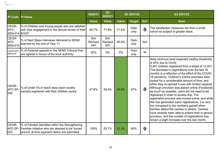| <b>PI Code</b>                  | <b>PI Name</b>                                                                                                                                        | 2020/21                      | Q3<br>2020/21                |              | Q3 2021/22    |              | Q3 2021/22                                                                                                                                                                                                                                                                                                                                                                                                                                                                                                                                                                                                                                                                                                                                                                                                                                                                                              |
|---------------------------------|-------------------------------------------------------------------------------------------------------------------------------------------------------|------------------------------|------------------------------|--------------|---------------|--------------|---------------------------------------------------------------------------------------------------------------------------------------------------------------------------------------------------------------------------------------------------------------------------------------------------------------------------------------------------------------------------------------------------------------------------------------------------------------------------------------------------------------------------------------------------------------------------------------------------------------------------------------------------------------------------------------------------------------------------------------------------------------------------------------------------------------------------------------------------------------------------------------------------------|
|                                 |                                                                                                                                                       | <b>Value</b>                 | <b>Value</b>                 | <b>Value</b> | <b>Target</b> | <b>DoT</b>   | <b>Note</b>                                                                                                                                                                                                                                                                                                                                                                                                                                                                                                                                                                                                                                                                                                                                                                                                                                                                                             |
| CEGR-<br>AFC-<br>SEN-014 EHCP   | % of Children and Young people who are satisfied<br>with their engagement in the annual review of their                                               | 80.7%                        | 77.8%                        | 71.4%        | Data<br>only  | JĻ           | The satisfaction measures are from a small<br>cohort so subject to greater skew.                                                                                                                                                                                                                                                                                                                                                                                                                                                                                                                                                                                                                                                                                                                                                                                                                        |
| CEGR-<br>AFC-<br><b>SEN-015</b> | % of Next Steps interviews delivered to SEND<br>learners by the end of Year 11                                                                        | N/A<br>Revised<br><b>KPI</b> | N/A<br>Revised<br><b>KPI</b> | 45.9%        | Data<br>only  | N/A          |                                                                                                                                                                                                                                                                                                                                                                                                                                                                                                                                                                                                                                                                                                                                                                                                                                                                                                         |
| CEGR-AFC-<br><b>SEN-016</b>     | % of Parental appeals to the SEND Tribunal that<br>are agreed in favour of the local authority                                                        | 20%                          | 0%                           | 0%           | Data<br>only  | <b>STATE</b> |                                                                                                                                                                                                                                                                                                                                                                                                                                                                                                                                                                                                                                                                                                                                                                                                                                                                                                         |
| CEGR-<br>AFC-SF-<br>002         | % of Under 5's in reach area (each locality<br>named) registered with their children centre                                                           | 47.8%                        | 50.4%                        | 43.9%        | 67%           | JП,          | Note minimum level expected (redline threshold)<br>is 40% due to Covid:<br>5,441 children registered from a target of 12,401.<br>The decrease in registrations over the last 18<br>months is a reflection of the effect of the COVID-<br>19 pandemic. Children's Centre premises were<br>closed for a considerable amount of time, and<br>when they re-opened it was with limited capacity.<br>Although provision was placed online (Facebook)<br>as much as possible, users did not need to be<br>registered in order to access this. The<br>registration process was moved online, and while<br>this has generated some registrations, it is very<br>low compared to the numbers gained when<br>families attend the centres in person. Centres<br>have recently been able to extend their in person<br>provision, and the number of registrations has<br>shown a slight increase over the last month. |
| CEGR-<br>AFC-SF-<br>003         | % of Families identified within the Strengthening<br>Families initiative who are deemed to be 'turned<br>around' at time payment claims are submitted | 100%                         | 53.7%                        | 73.3%        | 60%           | 1 F          |                                                                                                                                                                                                                                                                                                                                                                                                                                                                                                                                                                                                                                                                                                                                                                                                                                                                                                         |

.<br>Geboortes l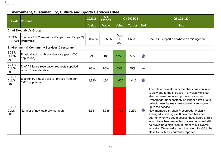# **Environment, Sustainability, Culture and Sports Services Cttee**

.<br>Geboortes l

| <b>PI Code</b>                 | <b>PI Name</b>                                                           | 2020/21      | Q3<br>2020/21       |                              | Q3 2021/22    |              | Q3 2021/22                                                                                                                                                                                                                                                                                                                                                                                                                                                                                                                                                                                                                        |  |  |  |
|--------------------------------|--------------------------------------------------------------------------|--------------|---------------------|------------------------------|---------------|--------------|-----------------------------------------------------------------------------------------------------------------------------------------------------------------------------------------------------------------------------------------------------------------------------------------------------------------------------------------------------------------------------------------------------------------------------------------------------------------------------------------------------------------------------------------------------------------------------------------------------------------------------------|--|--|--|
|                                |                                                                          | <b>Value</b> | <b>Value</b>        | <b>Value</b>                 | <b>Target</b> | <b>DoT</b>   | <b>Note</b>                                                                                                                                                                                                                                                                                                                                                                                                                                                                                                                                                                                                                       |  |  |  |
| <b>Chief Executive's Group</b> |                                                                          |              |                     |                              |               |              |                                                                                                                                                                                                                                                                                                                                                                                                                                                                                                                                                                                                                                   |  |  |  |
| CEGR-<br><b>PPA-001</b>        | Tonnes of C02 emissions (Scope 1 and Scope 2)<br>(Minimise)              |              | $6,025.55$ 6,025.55 | See<br><b>RCES</b><br>report | 4,593.0       |              | See RCES report elsewhere on this agenda.                                                                                                                                                                                                                                                                                                                                                                                                                                                                                                                                                                                         |  |  |  |
|                                | <b>Environment &amp; Community Services Directorate</b>                  |              |                     |                              |               |              |                                                                                                                                                                                                                                                                                                                                                                                                                                                                                                                                                                                                                                   |  |  |  |
| ECSR-<br>CLLS-<br>001          | Physical visits to library sites rate (per 1,000<br>population)          | 296          | 185                 | 1,228                        | 565           | $\mathbf{r}$ |                                                                                                                                                                                                                                                                                                                                                                                                                                                                                                                                                                                                                                   |  |  |  |
| ECSR-<br>CLLS-<br>003          | % of All library reservation requests supplied<br>within 7 calendar days | 88%          | 83%                 | 83%                          | 75%           | e.           |                                                                                                                                                                                                                                                                                                                                                                                                                                                                                                                                                                                                                                   |  |  |  |
| ECSR-<br>CLLS-<br>004          | Electronic / virtual visits to libraries (rate per<br>1,000 population)  | 1,830        | 1,301               | 1,657                        | 1,415         | $\bigcap$    |                                                                                                                                                                                                                                                                                                                                                                                                                                                                                                                                                                                                                                   |  |  |  |
| ECSR-<br>CLLS-<br>005          | Number of new eLibrary members                                           | 5,551        | 4,286               | 1,759                        | 2,250         | $\Box$       | The rate of new eLibrary members has continued<br>to slow due to the increase in physical visits but<br>also because one of our popular resources<br>Pressreader unexpectedly no longer allows us to<br>collect these figures showing new users signing<br>up to the service.<br>New members through Pressreader typically<br>averaged to average 450 new members per<br>quarter when we could access these figures. This<br>would have been expected to slow but would still<br>be providing a significant number to our overall<br>indicator. We would expect the return for Q3 to be<br>close to double as currently reported. |  |  |  |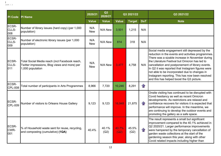| <b>PI Code</b>                 | <b>PI Name</b>                                                                                                      | 2020/21           | Q3<br>2020/21 |               | Q3 2021/22    |            | Q3 2021/22                                                                                                                                                                                                                                                                                                                                                                                                                                                          |
|--------------------------------|---------------------------------------------------------------------------------------------------------------------|-------------------|---------------|---------------|---------------|------------|---------------------------------------------------------------------------------------------------------------------------------------------------------------------------------------------------------------------------------------------------------------------------------------------------------------------------------------------------------------------------------------------------------------------------------------------------------------------|
|                                |                                                                                                                     | <b>Value</b>      | <b>Value</b>  | <b>Value</b>  | <b>Target</b> | <b>DoT</b> | <b>Note</b>                                                                                                                                                                                                                                                                                                                                                                                                                                                         |
| ECSR-<br>CLLS-<br>008          | Number of library issues (hard copy) (per 1,000<br>population)                                                      | N/A<br><b>New</b> | N/A New       | 3,501         | 1,215         | N/A        |                                                                                                                                                                                                                                                                                                                                                                                                                                                                     |
| <b>ECSR-</b><br>CLLS-<br>009   | Number of electronic library issues (per 1,000<br>population)                                                       | N/A<br><b>New</b> | N/A New       | 814           | 318           | N/A        |                                                                                                                                                                                                                                                                                                                                                                                                                                                                     |
| ECSR-<br>CLLS-<br>011          | Total Social Media reach (incl Facebook reach,<br>Twitter impressions, Blog views and more) per<br>1,000 population | N/A<br><b>New</b> | N/A New       | 3,477         | 4,758         | N/A        | Social media engagement still depressed by the<br>reduction in the events and activities programmes.<br>There was a sizable increase in November during<br>the Literature Festival but Omicron has led to<br>cancellation and postponement of library events.<br>In Q2 it was reported that Instagram figures were<br>not able to be incorporated due to changes in<br>Instagram reporting. This has now been resolved<br>and this has helped boost the Q3 picture. |
| ECSR-<br><b>CPL-008</b>        | Total number of participants in Arts Programmes                                                                     | 8,966             | 7,720         | 10,246        | 8,291         | $\bigcap$  |                                                                                                                                                                                                                                                                                                                                                                                                                                                                     |
| <b>ECSR-</b><br><b>CPL-009</b> | Number of visitors to Orleans House Gallery                                                                         | 9,123             | 9,123         | 16,948        | 21,875        | $\bigcap$  | Onsite visiting has continued to be disrupted with<br>Covid hesitancy as well as recent Omicron<br>developments. As restrictions are relaxed and<br>confidence recovers for visitors it is expected that<br>performance will improve. In the meantime, we<br>are continuing to develop the outdoor events and<br>promoting the gallery as a safe space.                                                                                                             |
| ECSR-<br>CWR-<br>001           | % of Household waste sent for reuse, recycling,<br>and composting (cumulative) (1QA)                                | 40.4%             | 40.1%<br>(Q2) | 40.7%<br>(Q2) | 45.5%<br>(Q2) | $\bigcap$  | The result represents a small but significant<br>improvement compared to the 40.1% achieved in<br>Q2 2020/21. Larger performance improvements<br>were hampered by the temporary cancellation of<br>garden waste collections at the start of the<br>gardening season this year, along with other<br>Covid related impacts including higher than                                                                                                                      |

of<br>I leaven in le l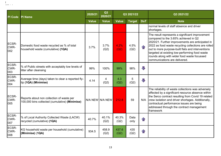| PI Code              | <b>PI Name</b>                                                                              | 2020/21      | Q3<br>2020/21   |               | Q3 2021/22    |                   | Q3 2021/22                                                                                                                                                                                                                                                                                                                                                                                |
|----------------------|---------------------------------------------------------------------------------------------|--------------|-----------------|---------------|---------------|-------------------|-------------------------------------------------------------------------------------------------------------------------------------------------------------------------------------------------------------------------------------------------------------------------------------------------------------------------------------------------------------------------------------------|
|                      |                                                                                             | <b>Value</b> | <b>Value</b>    | <b>Value</b>  | <b>Target</b> | <b>DoT</b>        | <b>Note</b>                                                                                                                                                                                                                                                                                                                                                                               |
|                      |                                                                                             |              |                 |               |               |                   | normal levels of staff absence and driver<br>shortages.                                                                                                                                                                                                                                                                                                                                   |
| ECSR-<br>CWR-<br>002 | Domestic food waste recycled as % of total<br>household waste (cumulative) (1QA)            | 3.7%         | 3.7%<br>(Q2)    | 4.2%<br>(Q2)  | 4.5%<br>(Q2)  | $\curvearrowleft$ | The result represents a significant improvement<br>compared to the 3.65% achieved in Q2<br>2020/21. Further improvements are anticipated in<br>2022 as food waste recycling collections are rolled<br>out to more purpose-built flats and interventions<br>targeted at existing low-performing food waste<br>rounds along with wider food waste focussed<br>communications are delivered. |
| ECSR-<br>CWR-<br>003 | % of Public streets with acceptably low levels of<br>litter after cleansing                 | 99%          | 100%            | 99%           | 98%           | $\Box$            |                                                                                                                                                                                                                                                                                                                                                                                           |
| ECSR-<br>CWR-<br>004 | Average time (days) taken to clear a reported fly-<br>tip (1QA) (Minimise)                  | 4.14         | 4<br>(Q2)       | 4.3<br>(Q2)   | 5<br>(Q2)     | $\sqrt{2}$        |                                                                                                                                                                                                                                                                                                                                                                                           |
| ECSR-<br>CWR-<br>005 | Reports about non collection of waste per<br>100,000 bins collected (cumulative) (Minimise) |              | N/A NEW N/A NEW | 212.8         | 59            |                   | The reliability of waste collections was adversely<br>affected by a significant resource absence within<br>the Serco contract resulting from Covid 19 related<br>N/A crew isolation and driver shortages. Additionally,<br>contractual performance issues are being<br>addressed through the contract management<br>framework                                                             |
| ECSR-<br>CWR-<br>007 | % of Local Authority Collected Waste (LACW)<br>recycled (cumulative) (1QA)                  | 40.7%        | 40.1%<br>(Q2)   | 40.3%<br>(Q2) | Data<br>only  | $\mathbf{f}$      |                                                                                                                                                                                                                                                                                                                                                                                           |
| ECSR-<br>CWR-<br>008 | KG household waste per household (cumulative)<br>(Minimise) (1QA)                           | 934.5        | 458.9<br>(Q2)   | 437.6<br>(Q2) | 435<br>(Q2)   | $\mathbf{f}$      |                                                                                                                                                                                                                                                                                                                                                                                           |

 $\frac{1}{2}$  and  $\frac{1}{2}$  in  $\frac{1}{2}$ l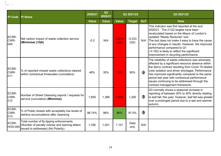| <b>PI Code</b>          | <b>PI Name</b>                                                                                                                   | 2020/21      | Q3<br>2020/21 |                  | Q3 2021/22       |                   | Q3 2021/22                                                                                                                                                                                                                                                                                                                                                                                                 |
|-------------------------|----------------------------------------------------------------------------------------------------------------------------------|--------------|---------------|------------------|------------------|-------------------|------------------------------------------------------------------------------------------------------------------------------------------------------------------------------------------------------------------------------------------------------------------------------------------------------------------------------------------------------------------------------------------------------------|
|                         |                                                                                                                                  | <b>Value</b> | <b>Value</b>  | <b>Value</b>     | <b>Target</b>    | <b>DoT</b>        | <b>Note</b>                                                                                                                                                                                                                                                                                                                                                                                                |
| ECSR-<br>CWR-<br>009    | Net carbon impact of waste collection service<br>(Minimise) (1QA)                                                                | $-0.2$       | N/A           | $-0.214$<br>(Q2) | $-0.233$<br>(Q2) |                   | This indicator was first reported at the end<br>2020/21. The 21/22 targets have been<br>recalculated based on the Mayor of London's<br>updated 'Ready Reckoner' tool.<br>N/A The tool does not make it easy to trace the cause<br>of any changes in results. However, the improved<br>performance compared to Q1<br>(-0.192) is likely to reflect the significant<br>improvement in recycling performance. |
| ECSR-<br>CWR-<br>011    | % of reported missed waste collections cleared<br>within contractual timescales (cumulative)                                     | 48%          | 35%           | 72%              | 95%              | $\curvearrowleft$ | The reliability of waste collections was adversely<br>affected by a significant resource absence within<br>the Serco contract resulting from Covid 19 related<br>crew isolation and driver shortages. Performance<br>has improved significantly compared to the same<br>period last year with contractual performance<br>issues continuing to be addressed through the<br>contract management framework.   |
| ECSR-<br>CWR-<br>012    | Number of Street Cleansing reports / requests for<br>service (cumulative) (Minimise)                                             | 1,659        | 1,389         | 1,436            | 1,200            | J,                | Q3 normally shows a seasonal increase in<br>reporting of between 30% to 40% directly relating<br>to leaf fall; this year, however, leaf fall was greater<br>over a prolonged period due to a wet and warmer<br>autumn.                                                                                                                                                                                     |
| ECSR-<br>CWR-<br>013    | % of Public streets with acceptably low levels of<br>detritus accumulations after cleansing                                      | 98.74%       | 98%           | 96%              | 97.5%            | $\Box$            |                                                                                                                                                                                                                                                                                                                                                                                                            |
| ECSR-<br><b>HOS-005</b> | Total number of fly-tipping enforcements<br>(Number of penalty notices and warning letters<br>issued to addresses) (No Polarity) | 1,336        | 1,041         | 1,101            | Data<br>only     | N/A               |                                                                                                                                                                                                                                                                                                                                                                                                            |

 $\sim$  and  $\sim$   $\sim$ l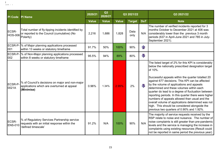| <b>PI Code</b>          | <b>PI Name</b>                                                                                                      | 2020/21      | Q3<br>2020/21 |              | Q3 2021/22    |            | Q3 2021/22                                                                                                                                                                                                                                                                                                                                                                                                                                                                                                                                                                                                                               |
|-------------------------|---------------------------------------------------------------------------------------------------------------------|--------------|---------------|--------------|---------------|------------|------------------------------------------------------------------------------------------------------------------------------------------------------------------------------------------------------------------------------------------------------------------------------------------------------------------------------------------------------------------------------------------------------------------------------------------------------------------------------------------------------------------------------------------------------------------------------------------------------------------------------------------|
|                         |                                                                                                                     | <b>Value</b> | <b>Value</b>  | <b>Value</b> | <b>Target</b> | <b>DoT</b> | <b>Note</b>                                                                                                                                                                                                                                                                                                                                                                                                                                                                                                                                                                                                                              |
| ECSR-<br><b>HOS-006</b> | Total number of fly-tipping incidents identified by<br>or reported to the Council (cumulative) (No<br>Polarity)     | 2,216        | 1,686         | 1,828        | Data<br>only  |            | The number of verified incidents reported for 3<br>months October to December 2021 at 406 was<br>N/A considerably lower than the previous 3 month<br>periods (637 in April-June 2021 and 785 in July-<br>September 2021).                                                                                                                                                                                                                                                                                                                                                                                                                |
| ECSR-P-<br>001          | % of Major planning applications processed<br>within 13 weeks or statutory timeframe                                | 91.7%        | 50%           | 100%         | 90%           | $\bigcap$  |                                                                                                                                                                                                                                                                                                                                                                                                                                                                                                                                                                                                                                          |
| ECSR-P<br>002           | √ of Non-Major planning applications processed<br>within 8 weeks or statutory timeframe                             | 95.5%        | 94%           | 89%          | 80%           | $\Box$     |                                                                                                                                                                                                                                                                                                                                                                                                                                                                                                                                                                                                                                          |
| ECSR-P-<br>0021A        | % of Council's decisions on major and non-major<br>applications which are overturned at appeal<br>(Minimise)        | 0.96%        | 1.34%         | 2.95%        | 2%            | JЦ         | The listed target of 2% for this KPI is considerably<br>below the nationally prescribed designation target<br>of 10%.<br>Successful appeals within the quarter totalled 20<br>against 677 decisions. This KPI can be affected<br>by the volume of applications and appeals<br>determined and these volumes within each<br>quarter do lead to a degree of fluctuation between<br>reporting periods. In this quarter there were higher<br>numbers of appeals allowed than usual and the<br>overall volume of applications determined was not<br>high. This should be considered alongside the<br>previous two quarters of 0.90% and 1.92%. |
| ECSR-<br><b>ENS-010</b> | % of Regulatory Services Partnership service<br>requests with an initial response within the<br>'defined timescale' | 91.2%        | N/A           | 100%         | 90%           | N/A        | The majority of service requests received by the<br>RSP relate to noise and nuisance. The number of<br>noise complaints is still greater than pre-pandemic<br>levels and the service is managing the increase in<br>complaints using existing resources (Result could<br>not be reported in same period the previous year).                                                                                                                                                                                                                                                                                                              |

 $\sim$  and  $\sim$   $\sim$ l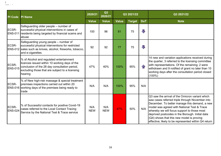| <b>PI Code PI Name</b>  |                                                                                                                                                                                                          | 2020/21           | Q3<br>2020/21     |              | Q3 2021/22    |            | Q3 2021/22                                                                                                                                                                                                                                                                                                                                                                                                   |
|-------------------------|----------------------------------------------------------------------------------------------------------------------------------------------------------------------------------------------------------|-------------------|-------------------|--------------|---------------|------------|--------------------------------------------------------------------------------------------------------------------------------------------------------------------------------------------------------------------------------------------------------------------------------------------------------------------------------------------------------------------------------------------------------------|
|                         |                                                                                                                                                                                                          | <b>Value</b>      | <b>Value</b>      | <b>Value</b> | <b>Target</b> | <b>DoT</b> | <b>Note</b>                                                                                                                                                                                                                                                                                                                                                                                                  |
| ECSR-<br><b>ENS-011</b> | Safeguarding older people – number of<br>successful physical interventions in cases of<br>residents being targeted by financial scams and<br>abuse                                                       | 100               | 96                | 81           | 75            | $\Box$     |                                                                                                                                                                                                                                                                                                                                                                                                              |
| ECSR-                   | Safeguarding young people – number of<br>successful physical interventions for restricted<br>ENS-012 sales such as knives, alcohol, fireworks, tobacco,<br>and e-cigarettes                              | 92                | 92                | 77           | 75            | $\Box$     |                                                                                                                                                                                                                                                                                                                                                                                                              |
| ECSR-<br><b>ENS-015</b> | % of Alcohol and regulated entertainment<br>licences issued within 10 working days of the<br>conclusion of the 28 day consultation period,<br>excluding those that are subject to a licensing<br>hearing | 47%               | 40%               | 100%         | 95%           | $\bigcap$  | 14 new and variation applications received during<br>the quarter, 3 referred to the licensing committee<br>with representations. Of the remaining; 2 were<br>withdrawn and 9 notified of grant no later than 10<br>working days after the consultation period closed<br>$(100\%)$                                                                                                                            |
| ECSR-                   | % of New high-risk massage & special treatment<br>premises inspections carried out within 20<br><b>ENS-016</b> working days of the premises being ready to<br><b>Itrade</b>                              | N/A               | N/A               | 100%         | 95%           | N/A        |                                                                                                                                                                                                                                                                                                                                                                                                              |
| ECSR-<br><b>ENS-024</b> | % of Successful contacts for positive Covid-19<br>cases referred to the Local Contact Tracing<br>Service by the National Test & Trace service                                                            | N/A<br><b>NEW</b> | N/A<br><b>NEW</b> | 47%          | 50%           | N/A        | Q3 saw the arrival of the Omicron variant which<br>saw cases referred triple through November into<br>December. To better manage this demand, a new<br>model was agreed with National Test & Trace<br>whereby we will focus support to those most<br>deprived postcodes in the Borough. Initial data<br>$(Q4)$ shows that this new model is proving<br>effective; likely to be represented within Q4 return. |

of<br>I leaven in le l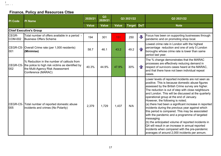### **Finance, Policy and Resources Cttee**

.<br>Official is a little l

| <b>PI Code</b>          | <b>PI Name</b>                                                                                                                                                    | 2020/21      | Q3<br>2020/21 |              | Q3 2021/22    |            | Q3 2021/22                                                                                                                                                                                                                                                                                                                                                                                                                                                                                                                                                                                                                                                                                                                                                                                         |
|-------------------------|-------------------------------------------------------------------------------------------------------------------------------------------------------------------|--------------|---------------|--------------|---------------|------------|----------------------------------------------------------------------------------------------------------------------------------------------------------------------------------------------------------------------------------------------------------------------------------------------------------------------------------------------------------------------------------------------------------------------------------------------------------------------------------------------------------------------------------------------------------------------------------------------------------------------------------------------------------------------------------------------------------------------------------------------------------------------------------------------------|
|                         |                                                                                                                                                                   | <b>Value</b> | <b>Value</b>  | <b>Value</b> | <b>Target</b> | <b>DoT</b> | <b>Note</b>                                                                                                                                                                                                                                                                                                                                                                                                                                                                                                                                                                                                                                                                                                                                                                                        |
|                         | <b>Chief Executive's Group</b>                                                                                                                                    |              |               |              |               |            |                                                                                                                                                                                                                                                                                                                                                                                                                                                                                                                                                                                                                                                                                                                                                                                                    |
| CEGR-<br><b>COM-002</b> | Total number of offers available in a period -<br><b>Business Offers Scheme</b>                                                                                   | 194          | 301           | 151          | 250           | JI,        | Focus has been on supporting businesses through<br>pandemic and on promoting shop local.                                                                                                                                                                                                                                                                                                                                                                                                                                                                                                                                                                                                                                                                                                           |
| 001                     | CEGR-CS- Overall Crime rate (per 1,000 residents)<br>(Minimise)                                                                                                   | 58.7         | 46.1          | 43.2         | 49.2          |            | Lowest crime rate in London with the highest<br>percentage reduction and one of only 5 London<br>boroughs whose crime rate is lower than same<br>period last year.                                                                                                                                                                                                                                                                                                                                                                                                                                                                                                                                                                                                                                 |
| 002                     | % Reduction in the number of callouts from<br>CEGR-CS- the police to high risk victims as identified by<br>the Multi-Agency Risk Assessment<br>Conference (MARAC) | 40.3%        | 44.9%         | 47.9%        | 30%           | 41         | The % change demonstrates that the MARAC<br>processes are effectively reducing demand in<br>respect of survivors cases heard at the MARAC,<br>and that there have not been individual repeat<br>cases.                                                                                                                                                                                                                                                                                                                                                                                                                                                                                                                                                                                             |
| 005                     | CEGR-CS- Total number of reported domestic abuse<br>incidents and crimes (No Polarity)                                                                            | 2,379        | 1,729         | 1,437        | N/A           |            | Lower levels of reported incidents are not seen as<br>positive. This is because domestic abuse figures<br>assessed by the British Crime survey are higher.<br>The reduction is out of step with close neighbours<br>and London. This will be discussed at the quarterly<br>operational group at the end of January.<br>However, the following is noted;<br>(a) there had been a significant increase in reported<br>incidents during the previous year against which<br>this period is compared. This may be associated<br>with the pandemic and a programme of targeted<br>messaging<br>(b) the anticipated volume of reported incidents in<br>Q4 will result in an increase in annual reported<br>incidents when compared with the pre-pandemic<br>averages of around 2,000 incidents per annum. |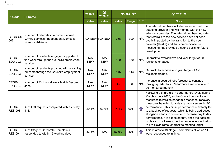| <b>PI</b> Code          | <b>PI Name</b>                                                                                            | 2020/21           | Q3<br>2020/21     |       | Q3 2021/22    |            | Q3 2021/22                                                                                                                                                                                                                                                                                                                                                                                                                                                                                                                                             |  |
|-------------------------|-----------------------------------------------------------------------------------------------------------|-------------------|-------------------|-------|---------------|------------|--------------------------------------------------------------------------------------------------------------------------------------------------------------------------------------------------------------------------------------------------------------------------------------------------------------------------------------------------------------------------------------------------------------------------------------------------------------------------------------------------------------------------------------------------------|--|
|                         |                                                                                                           | <b>Value</b>      | <b>Value</b>      | Value | <b>Target</b> | <b>DoT</b> | <b>Note</b>                                                                                                                                                                                                                                                                                                                                                                                                                                                                                                                                            |  |
| CEGR-CS-<br>007         | Number of referrals into commissioned<br><b>VAWG services (Independent Domestic</b><br>Violence Advisors) |                   | N/A NEW N/A NEW   | 366   | 300           | N/A        | The referral numbers include one month with the<br>outgoing provider and two months with the new<br>advocacy provider. The referral numbers indicate<br>that referrals to the new service have not been<br>overly impacted by the transition to the new<br>provider (Hestia) and that communication and<br>messaging has provided a sound basis for future<br>development.                                                                                                                                                                             |  |
| CEGR-<br>EDO-002        | Number of residents engaged/supported to<br>find work through the Council's employment<br>service         | N/A<br><b>NEW</b> | N/A<br><b>NEW</b> | 199   | 150           | N/A        | On track to overachieve end year target of 200<br>residents engaged.                                                                                                                                                                                                                                                                                                                                                                                                                                                                                   |  |
| CEGR-<br>EDO-003        | Number of residents provided with a training<br>outcome through the Council's employment<br>service       | N/A<br><b>NEW</b> | N/A<br><b>NEW</b> | 145   | 113           | N/A        | On track to achieve end year target of 150<br>residents trained.                                                                                                                                                                                                                                                                                                                                                                                                                                                                                       |  |
| CEGR-<br>EDO-004        | Number of Richmond Work Match Secured<br>Jobs                                                             | N/A<br><b>NEW</b> | N/A<br><b>NEW</b> | 45    | 56            |            | Increase in secured jobs forecast to continue<br>N/A through quarter four. Performance will continue to<br>be monitored monthly.                                                                                                                                                                                                                                                                                                                                                                                                                       |  |
| CEGR-<br><b>RES-003</b> | % of FOI requests completed within 20-day<br>limit                                                        | 59.1%             | 60.6%             | 74.4% | 90%           |            | Following a sharp dip in performance levels during<br>March to July 2020, as the Council concentrated<br>resources toward its pandemic response, recovery<br>measures have led to a steady improvement in FOI<br>performance. This dip in performance inevitably led<br>to a backlog of requests, which is being addressed<br>alongside efforts to continue to increase day to day<br>performance. It is expected that, once the backlog<br>is cleared in all areas, performance levels will return<br>to pre-Covid rates, on track to meeting target. |  |
| CEGR-<br><b>RES-004</b> | % of Stage 2 Corporate Complaints<br>responded to within 15 working days                                  | 53.3%             | N/A               | 57.9% | 50%           |            | This relates to 19 stage 2 complaints of which 11<br>were responded to in time.                                                                                                                                                                                                                                                                                                                                                                                                                                                                        |  |

 $\frac{1}{2}$  and  $\frac{1}{2}$  in  $\frac{1}{2}$ l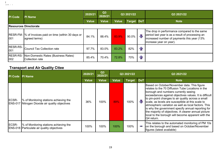| <b>PI Code</b>  | PI Name                                                                        | Q <sub>3</sub><br>2020/21<br>2020/21 |              | Q3 2021/22   |                   |                   | Q3 2021/22                                                                                                                                                                 |  |  |  |
|-----------------|--------------------------------------------------------------------------------|--------------------------------------|--------------|--------------|-------------------|-------------------|----------------------------------------------------------------------------------------------------------------------------------------------------------------------------|--|--|--|
|                 |                                                                                | <b>Value</b>                         | <b>Value</b> | <b>Value</b> | <b>Target DoT</b> |                   | <b>Note</b>                                                                                                                                                                |  |  |  |
|                 | <b>Resources Directorate</b>                                                   |                                      |              |              |                   |                   |                                                                                                                                                                            |  |  |  |
| 001             | <b>RESR-FM-1% of Invoices paid on time (within 30 days or</b><br>agreed terms) | 84.1%                                | 88.4%        | 83.9%        | 90.0%             | J J               | The drop in performance compared to the same<br>period last year is as a result of processing an<br>increased number of payments this year (13%<br>increase year on year). |  |  |  |
| RESR-RS-<br>001 | Council Tax Collection rate                                                    | 97.7%                                | 83.0%        | 83.2%        | 82%               | $\bigcap$         |                                                                                                                                                                            |  |  |  |
| 002             | RESR-RS- Non-Domestic Rates (Business Rates)<br>Collection rate                | 85.4%                                | 70.4%        | 72.8%        | 70%               | $\curvearrowleft$ |                                                                                                                                                                            |  |  |  |

#### **Transport and Air Quality Cttee**

.<br>Geboortes l

| PI Code | <b>PI Name</b>                                                                                   | 2020/21      | Q3<br>Q3 2021/22<br>2020/21 |              |        |                         | Q3 2021/22                                                                                                                                                                                                                                                                                                                                                                                                                                                                                                                                              |
|---------|--------------------------------------------------------------------------------------------------|--------------|-----------------------------|--------------|--------|-------------------------|---------------------------------------------------------------------------------------------------------------------------------------------------------------------------------------------------------------------------------------------------------------------------------------------------------------------------------------------------------------------------------------------------------------------------------------------------------------------------------------------------------------------------------------------------------|
|         |                                                                                                  | <b>Value</b> | <b>Value</b>                | <b>Value</b> | Target | <b>DoT</b>              | <b>Note</b>                                                                                                                                                                                                                                                                                                                                                                                                                                                                                                                                             |
| ECSR-   | % of Monitoring stations achieving the<br><b>ENS-017 Nitrogen Dioxide air quality objectives</b> | 36%          | 100%                        | 89%          | 100%   | $\overline{\mathbb{L}}$ | Based on October/November data. This figure<br>relates to the 70 Diffusion Tube Locations in the<br>borough and numbers currently seeing<br>exceedances against objectives values. It is difficult<br>to pin-point changes to air quality across a small<br>scale, as levels are susceptible at this scale to<br>atmospheric variation as well as local factors. This<br>is why the government specify annual reporting for<br>the majority of objectives. A clearer annual picture<br>local to the borough will become apparent with the<br>Q4 return. |
| ECSR-   | % of Monitoring stations achieving the<br><b>ENS-018 Particulate air quality objectives</b>      | 100%         | 100%                        | 100%         | 100%   | m.                      | This relates to the automated monitoring of PM 10s<br>on the borough and based on October/November<br>figures (latest available)                                                                                                                                                                                                                                                                                                                                                                                                                        |